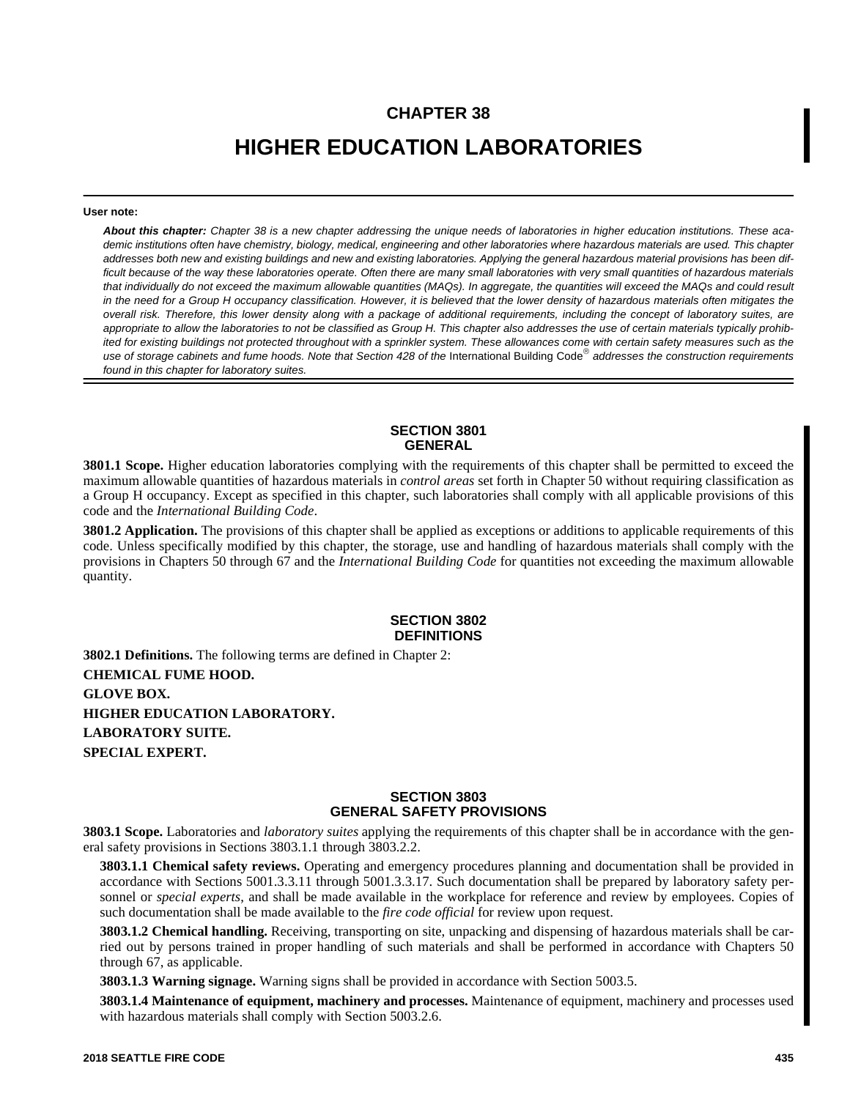## **CHAPTER 38**

# **HIGHER EDUCATION LABORATORIES**

#### **User note:**

*About this chapter: Chapter 38 is a new chapter addressing the unique needs of laboratories in higher education institutions. These academic institutions often have chemistry, biology, medical, engineering and other laboratories where hazardous materials are used. This chapter addresses both new and existing buildings and new and existing laboratories. Applying the general hazardous material provisions has been difficult because of the way these laboratories operate. Often there are many small laboratories with very small quantities of hazardous materials that individually do not exceed the maximum allowable quantities (MAQs). In aggregate, the quantities will exceed the MAQs and could result in the need for a Group H occupancy classification. However, it is believed that the lower density of hazardous materials often mitigates the overall risk. Therefore, this lower density along with a package of additional requirements, including the concept of laboratory suites, are appropriate to allow the laboratories to not be classified as Group H. This chapter also addresses the use of certain materials typically prohibited for existing buildings not protected throughout with a sprinkler system. These allowances come with certain safety measures such as the* use of storage cabinets and fume hoods. Note that Section 428 of the International Building Code® addresses the construction requirements *found in this chapter for laboratory suites.*

#### **SECTION 3801 GENERAL**

**3801.1 Scope.** Higher education laboratories complying with the requirements of this chapter shall be permitted to exceed the maximum allowable quantities of hazardous materials in *control areas* set forth in Chapter 50 without requiring classification as a Group H occupancy. Except as specified in this chapter, such laboratories shall comply with all applicable provisions of this code and the *International Building Code*.

**3801.2 Application.** The provisions of this chapter shall be applied as exceptions or additions to applicable requirements of this code. Unless specifically modified by this chapter, the storage, use and handling of hazardous materials shall comply with the provisions in Chapters 50 through 67 and the *International Building Code* for quantities not exceeding the maximum allowable quantity.

#### **SECTION 3802 DEFINITIONS**

**3802.1 Definitions.** The following terms are defined in Chapter 2: **CHEMICAL FUME HOOD. GLOVE BOX. HIGHER EDUCATION LABORATORY. LABORATORY SUITE. SPECIAL EXPERT.**

#### **SECTION 3803 GENERAL SAFETY PROVISIONS**

**3803.1 Scope.** Laboratories and *laboratory suites* applying the requirements of this chapter shall be in accordance with the general safety provisions in Sections 3803.1.1 through 3803.2.2.

**3803.1.1 Chemical safety reviews.** Operating and emergency procedures planning and documentation shall be provided in accordance with Sections 5001.3.3.11 through 5001.3.3.17. Such documentation shall be prepared by laboratory safety personnel or *special experts*, and shall be made available in the workplace for reference and review by employees. Copies of such documentation shall be made available to the *fire code official* for review upon request.

**3803.1.2 Chemical handling.** Receiving, transporting on site, unpacking and dispensing of hazardous materials shall be carried out by persons trained in proper handling of such materials and shall be performed in accordance with Chapters 50 through 67, as applicable.

**3803.1.3 Warning signage.** Warning signs shall be provided in accordance with Section 5003.5.

**3803.1.4 Maintenance of equipment, machinery and processes.** Maintenance of equipment, machinery and processes used with hazardous materials shall comply with Section 5003.2.6.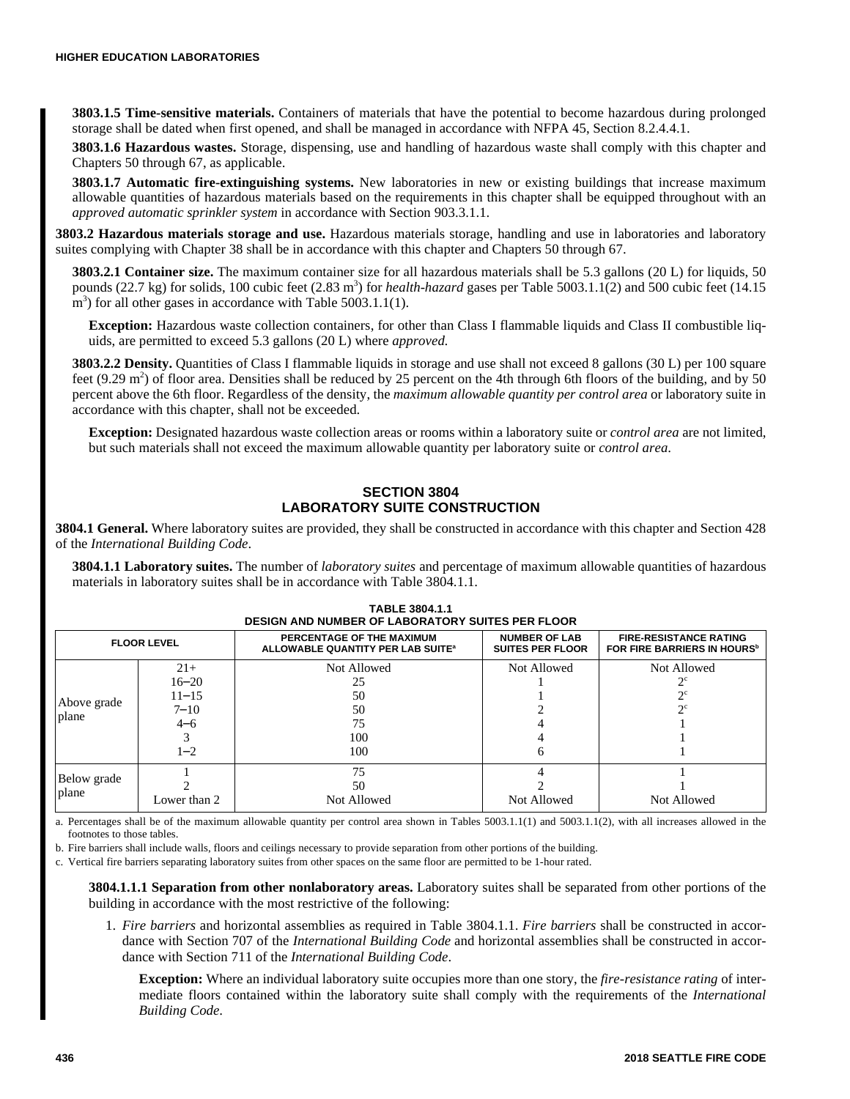**3803.1.5 Time-sensitive materials.** Containers of materials that have the potential to become hazardous during prolonged storage shall be dated when first opened, and shall be managed in accordance with NFPA 45, Section 8.2.4.4.1.

**3803.1.6 Hazardous wastes.** Storage, dispensing, use and handling of hazardous waste shall comply with this chapter and Chapters 50 through 67, as applicable.

**3803.1.7 Automatic fire-extinguishing systems.** New laboratories in new or existing buildings that increase maximum allowable quantities of hazardous materials based on the requirements in this chapter shall be equipped throughout with an *approved automatic sprinkler system* in accordance with Section 903.3.1.1.

**3803.2 Hazardous materials storage and use.** Hazardous materials storage, handling and use in laboratories and laboratory suites complying with Chapter 38 shall be in accordance with this chapter and Chapters 50 through 67.

**3803.2.1 Container size.** The maximum container size for all hazardous materials shall be 5.3 gallons (20 L) for liquids, 50 pounds  $(22.7 \text{ kg})$  for solids, 100 cubic feet  $(2.83 \text{ m}^3)$  for *health-hazard* gases per Table 5003.1.1(2) and 500 cubic feet (14.15) m<sup>3</sup>) for all other gases in accordance with Table 5003.1.1(1).

**Exception:** Hazardous waste collection containers, for other than Class I flammable liquids and Class II combustible liquids, are permitted to exceed 5.3 gallons (20 L) where *approved.*

**3803.2.2 Density.** Quantities of Class I flammable liquids in storage and use shall not exceed 8 gallons (30 L) per 100 square feet (9.29  $\text{m}^2$ ) of floor area. Densities shall be reduced by 25 percent on the 4th through 6th floors of the building, and by 50 percent above the 6th floor. Regardless of the density, the *maximum allowable quantity per control area* or laboratory suite in accordance with this chapter, shall not be exceeded.

**Exception:** Designated hazardous waste collection areas or rooms within a laboratory suite or *control area* are not limited, but such materials shall not exceed the maximum allowable quantity per laboratory suite or *control area*.

#### **SECTION 3804 LABORATORY SUITE CONSTRUCTION**

**3804.1 General.** Where laboratory suites are provided, they shall be constructed in accordance with this chapter and Section 428 of the *International Building Code*.

**3804.1.1 Laboratory suites.** The number of *laboratory suites* and percentage of maximum allowable quantities of hazardous materials in laboratory suites shall be in accordance with Table 3804.1.1.

| <b>DESIGN AND NUMBER OF LABORATORY SUITES PER FLOOR</b> |                                                                   |                                                                            |                                                 |                                                                          |
|---------------------------------------------------------|-------------------------------------------------------------------|----------------------------------------------------------------------------|-------------------------------------------------|--------------------------------------------------------------------------|
| <b>FLOOR LEVEL</b>                                      |                                                                   | PERCENTAGE OF THE MAXIMUM<br>ALLOWABLE QUANTITY PER LAB SUITE <sup>®</sup> | <b>NUMBER OF LAB</b><br><b>SUITES PER FLOOR</b> | <b>FIRE-RESISTANCE RATING</b><br>FOR FIRE BARRIERS IN HOURS <sup>b</sup> |
| Above grade<br>plane                                    | $21+$<br>$16 - 20$<br>$11 - 15$<br>$7 - 10$<br>$4 - 6$<br>$1 - 2$ | Not Allowed<br>25<br>50<br>50<br>75<br>100<br>100                          | <b>Not Allowed</b>                              | Not Allowed<br>$\gamma c$                                                |
| Below grade<br>plane                                    | Lower than 2                                                      | 75<br>50<br>Not Allowed                                                    | Not Allowed                                     | Not Allowed                                                              |

|                                                         | <b>TABLE 3804.1.1</b> |  |
|---------------------------------------------------------|-----------------------|--|
| <b>DESIGN AND NUMBER OF LABORATORY SUITES PER FLOOR</b> |                       |  |

a. Percentages shall be of the maximum allowable quantity per control area shown in Tables 5003.1.1(1) and 5003.1.1(2), with all increases allowed in the footnotes to those tables.

b. Fire barriers shall include walls, floors and ceilings necessary to provide separation from other portions of the building.

c. Vertical fire barriers separating laboratory suites from other spaces on the same floor are permitted to be 1-hour rated.

**3804.1.1.1 Separation from other nonlaboratory areas.** Laboratory suites shall be separated from other portions of the building in accordance with the most restrictive of the following:

1. *Fire barriers* and horizontal assemblies as required in Table 3804.1.1. *Fire barriers* shall be constructed in accordance with Section 707 of the *International Building Code* and horizontal assemblies shall be constructed in accordance with Section 711 of the *International Building Code*.

**Exception:** Where an individual laboratory suite occupies more than one story, the *fire-resistance rating* of intermediate floors contained within the laboratory suite shall comply with the requirements of the *International Building Code*.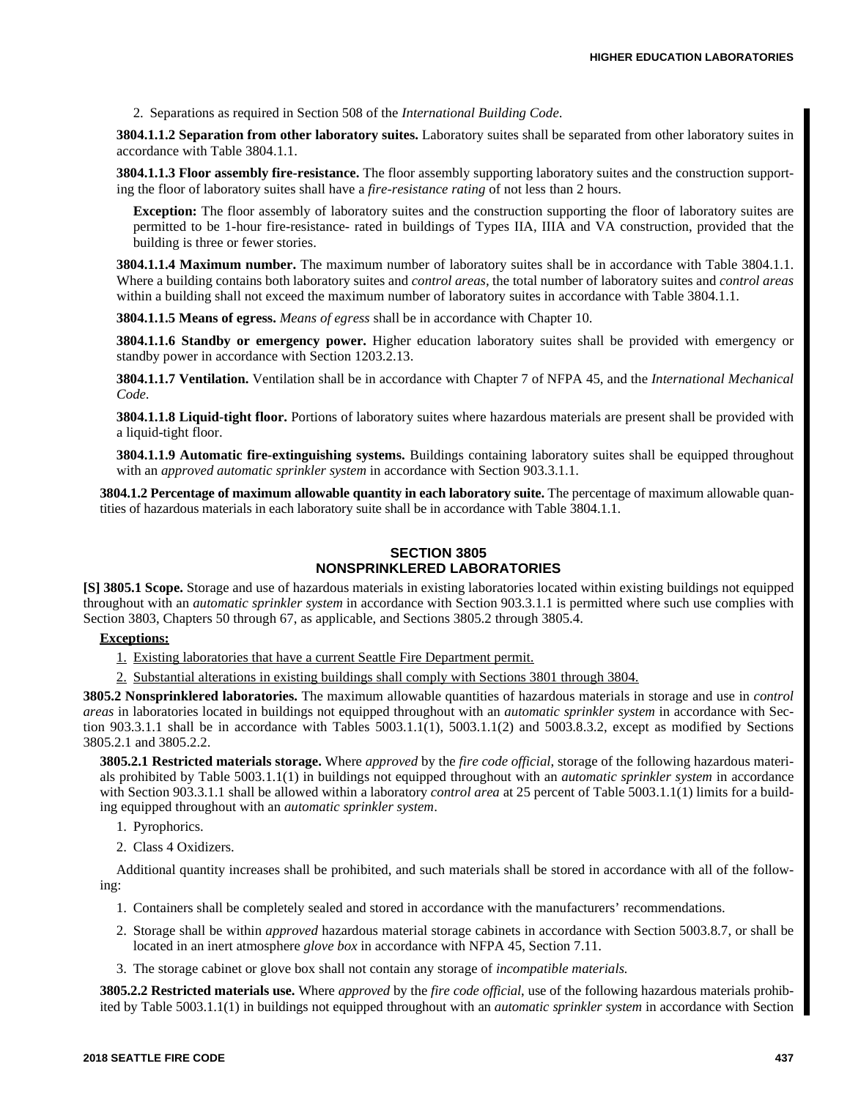2. Separations as required in Section 508 of the *International Building Code*.

**3804.1.1.2 Separation from other laboratory suites.** Laboratory suites shall be separated from other laboratory suites in accordance with Table 3804.1.1.

**3804.1.1.3 Floor assembly fire-resistance.** The floor assembly supporting laboratory suites and the construction supporting the floor of laboratory suites shall have a *fire-resistance rating* of not less than 2 hours.

**Exception:** The floor assembly of laboratory suites and the construction supporting the floor of laboratory suites are permitted to be 1-hour fire-resistance- rated in buildings of Types IIA, IIIA and VA construction, provided that the building is three or fewer stories.

**3804.1.1.4 Maximum number.** The maximum number of laboratory suites shall be in accordance with Table 3804.1.1. Where a building contains both laboratory suites and *control areas,* the total number of laboratory suites and *control areas* within a building shall not exceed the maximum number of laboratory suites in accordance with Table 3804.1.1.

**3804.1.1.5 Means of egress.** *Means of egress* shall be in accordance with Chapter 10.

**3804.1.1.6 Standby or emergency power.** Higher education laboratory suites shall be provided with emergency or standby power in accordance with Section 1203.2.13.

**3804.1.1.7 Ventilation.** Ventilation shall be in accordance with Chapter 7 of NFPA 45, and the *International Mechanical Code*.

**3804.1.1.8 Liquid-tight floor.** Portions of laboratory suites where hazardous materials are present shall be provided with a liquid-tight floor.

**3804.1.1.9 Automatic fire-extinguishing systems.** Buildings containing laboratory suites shall be equipped throughout with an *approved automatic sprinkler system* in accordance with Section 903.3.1.1.

**3804.1.2 Percentage of maximum allowable quantity in each laboratory suite.** The percentage of maximum allowable quantities of hazardous materials in each laboratory suite shall be in accordance with Table 3804.1.1.

### **SECTION 3805 NONSPRINKLERED LABORATORIES**

**[S] 3805.1 Scope.** Storage and use of hazardous materials in existing laboratories located within existing buildings not equipped throughout with an *automatic sprinkler system* in accordance with Section 903.3.1.1 is permitted where such use complies with Section 3803, Chapters 50 through 67, as applicable, and Sections 3805.2 through 3805.4.

#### **Exceptions:**

1. Existing laboratories that have a current Seattle Fire Department permit.

2. Substantial alterations in existing buildings shall comply with Sections 3801 through 3804.

**3805.2 Nonsprinklered laboratories.** The maximum allowable quantities of hazardous materials in storage and use in *control areas* in laboratories located in buildings not equipped throughout with an *automatic sprinkler system* in accordance with Section 903.3.1.1 shall be in accordance with Tables 5003.1.1(1), 5003.1.1(2) and 5003.8.3.2, except as modified by Sections 3805.2.1 and 3805.2.2.

**3805.2.1 Restricted materials storage.** Where *approved* by the *fire code official*, storage of the following hazardous materials prohibited by Table 5003.1.1(1) in buildings not equipped throughout with an *automatic sprinkler system* in accordance with Section 903.3.1.1 shall be allowed within a laboratory *control area* at 25 percent of Table 5003.1.1(1) limits for a building equipped throughout with an *automatic sprinkler system*.

- 1. Pyrophorics.
- 2. Class 4 Oxidizers.

Additional quantity increases shall be prohibited, and such materials shall be stored in accordance with all of the following:

- 1. Containers shall be completely sealed and stored in accordance with the manufacturers' recommendations.
- 2. Storage shall be within *approved* hazardous material storage cabinets in accordance with Section 5003.8.7, or shall be located in an inert atmosphere *glove box* in accordance with NFPA 45, Section 7.11.
- 3. The storage cabinet or glove box shall not contain any storage of *incompatible materials.*

**3805.2.2 Restricted materials use.** Where *approved* by the *fire code official*, use of the following hazardous materials prohibited by Table 5003.1.1(1) in buildings not equipped throughout with an *automatic sprinkler system* in accordance with Section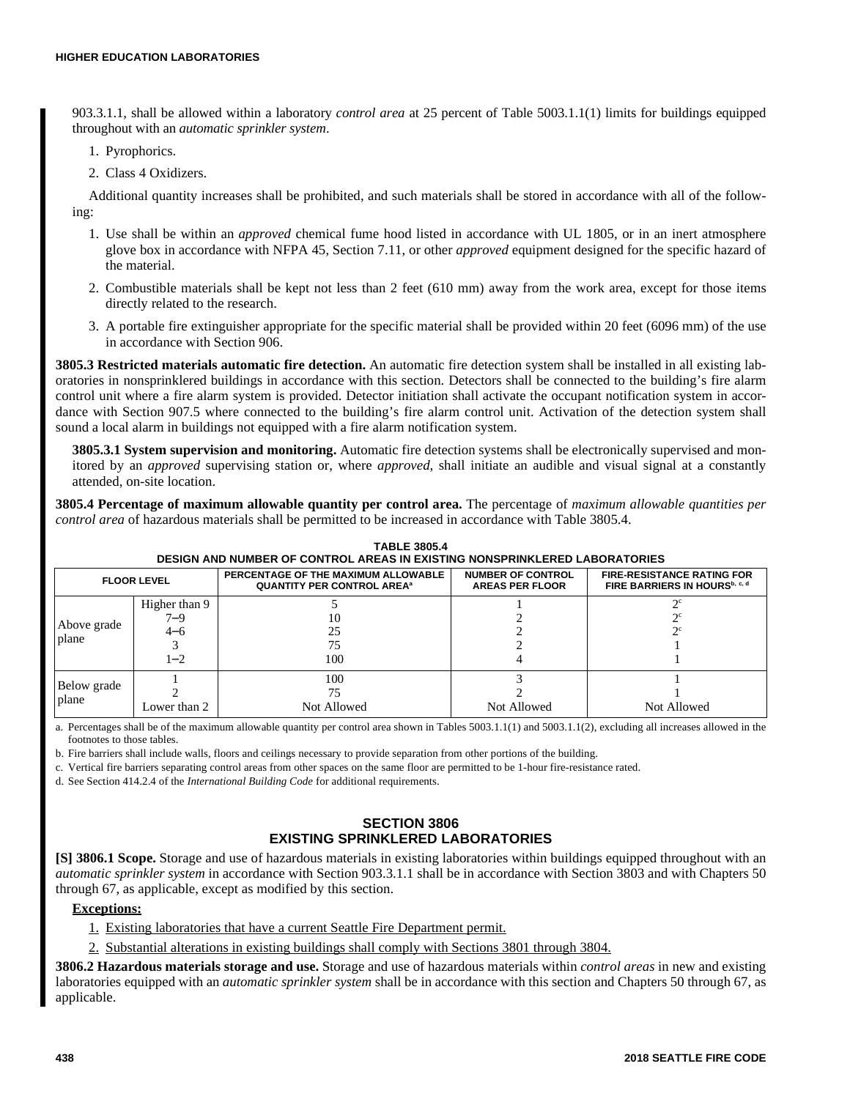903.3.1.1, shall be allowed within a laboratory *control area* at 25 percent of Table 5003.1.1(1) limits for buildings equipped throughout with an *automatic sprinkler system*.

- 1. Pyrophorics.
- 2. Class 4 Oxidizers.

Additional quantity increases shall be prohibited, and such materials shall be stored in accordance with all of the following:

- 1. Use shall be within an *approved* chemical fume hood listed in accordance with UL 1805, or in an inert atmosphere glove box in accordance with NFPA 45, Section 7.11, or other *approved* equipment designed for the specific hazard of the material.
- 2. Combustible materials shall be kept not less than 2 feet (610 mm) away from the work area, except for those items directly related to the research.
- 3. A portable fire extinguisher appropriate for the specific material shall be provided within 20 feet (6096 mm) of the use in accordance with Section 906.

**3805.3 Restricted materials automatic fire detection.** An automatic fire detection system shall be installed in all existing laboratories in nonsprinklered buildings in accordance with this section. Detectors shall be connected to the building's fire alarm control unit where a fire alarm system is provided. Detector initiation shall activate the occupant notification system in accordance with Section 907.5 where connected to the building's fire alarm control unit. Activation of the detection system shall sound a local alarm in buildings not equipped with a fire alarm notification system.

**3805.3.1 System supervision and monitoring.** Automatic fire detection systems shall be electronically supervised and monitored by an *approved* supervising station or, where *approved*, shall initiate an audible and visual signal at a constantly attended, on-site location.

**3805.4 Percentage of maximum allowable quantity per control area.** The percentage of *maximum allowable quantities per control area* of hazardous materials shall be permitted to be increased in accordance with Table 3805.4.

| <b>FLOOR LEVEL</b>   |                                        | PERCENTAGE OF THE MAXIMUM ALLOWABLE<br><b>QUANTITY PER CONTROL AREA<sup>®</sup></b> | <b>NUMBER OF CONTROL</b><br><b>AREAS PER FLOOR</b> | <b>FIRE-RESISTANCE RATING FOR</b><br>FIRE BARRIERS IN HOURS <sup>b, c, d</sup> |
|----------------------|----------------------------------------|-------------------------------------------------------------------------------------|----------------------------------------------------|--------------------------------------------------------------------------------|
| Above grade<br>plane | Higher than 9<br>7–9<br>4–6<br>$1 - 2$ | ю<br>25<br>100                                                                      |                                                    | ግር                                                                             |
| Below grade<br>plane | Lower than 2                           | 100<br>Not Allowed                                                                  | Not Allowed                                        | Not Allowed                                                                    |

**TABLE 3805.4 DESIGN AND NUMBER OF CONTROL AREAS IN EXISTING NONSPRINKLERED LABORATORIES**

a. Percentages shall be of the maximum allowable quantity per control area shown in Tables 5003.1.1(1) and 5003.1.1(2), excluding all increases allowed in the footnotes to those tables.

b. Fire barriers shall include walls, floors and ceilings necessary to provide separation from other portions of the building.

c. Vertical fire barriers separating control areas from other spaces on the same floor are permitted to be 1-hour fire-resistance rated.

d. See Section 414.2.4 of the *International Building Code* for additional requirements.

#### **SECTION 3806 EXISTING SPRINKLERED LABORATORIES**

**[S] 3806.1 Scope.** Storage and use of hazardous materials in existing laboratories within buildings equipped throughout with an *automatic sprinkler system* in accordance with Section 903.3.1.1 shall be in accordance with Section 3803 and with Chapters 50 through 67, as applicable, except as modified by this section.

#### **Exceptions:**

1. Existing laboratories that have a current Seattle Fire Department permit.

2. Substantial alterations in existing buildings shall comply with Sections 3801 through 3804.

**3806.2 Hazardous materials storage and use.** Storage and use of hazardous materials within *control areas* in new and existing laboratories equipped with an *automatic sprinkler system* shall be in accordance with this section and Chapters 50 through 67, as applicable.